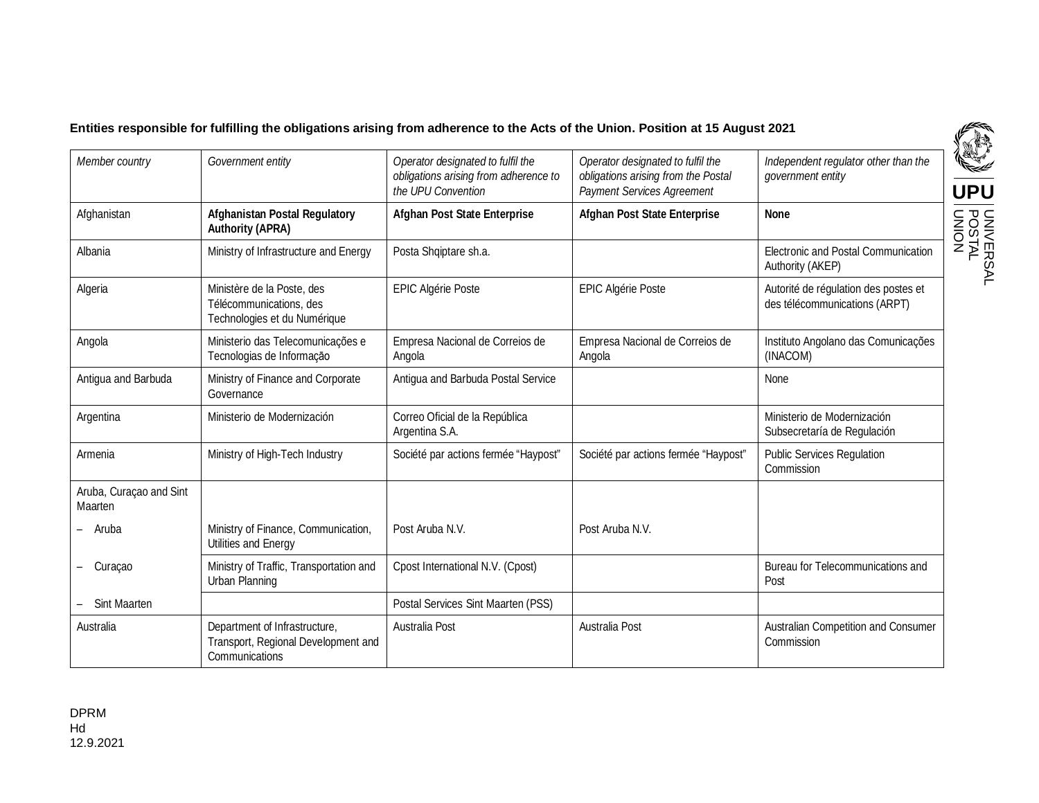## **Entities responsible for fulfilling the obligations arising from adherence to the Acts of the Union. Position at 15 August 2021**

| Member country                     | Government entity                                                                      | Operator designated to fulfil the<br>obligations arising from adherence to<br>the UPU Convention | Operator designated to fulfil the<br>obligations arising from the Postal<br>Payment Services Agreement | Independent regulator other than the<br>government entity             |
|------------------------------------|----------------------------------------------------------------------------------------|--------------------------------------------------------------------------------------------------|--------------------------------------------------------------------------------------------------------|-----------------------------------------------------------------------|
| Afghanistan                        | <b>Afghanistan Postal Regulatory</b><br><b>Authority (APRA)</b>                        | <b>Afghan Post State Enterprise</b>                                                              | <b>Afghan Post State Enterprise</b>                                                                    | <b>None</b>                                                           |
| Albania                            | Ministry of Infrastructure and Energy                                                  | Posta Shqiptare sh.a.                                                                            |                                                                                                        | Electronic and Postal Communication<br>Authority (AKEP)               |
| Algeria                            | Ministère de la Poste, des<br>Télécommunications, des<br>Technologies et du Numérique  | <b>EPIC Algérie Poste</b>                                                                        | <b>EPIC Algérie Poste</b>                                                                              | Autorité de régulation des postes et<br>des télécommunications (ARPT) |
| Angola                             | Ministerio das Telecomunicações e<br>Tecnologias de Informação                         | Empresa Nacional de Correios de<br>Angola                                                        | Empresa Nacional de Correios de<br>Angola                                                              | Instituto Angolano das Comunicações<br>(INACOM)                       |
| Antigua and Barbuda                | Ministry of Finance and Corporate<br>Governance                                        | Antigua and Barbuda Postal Service                                                               |                                                                                                        | <b>None</b>                                                           |
| Argentina                          | Ministerio de Modernización                                                            | Correo Oficial de la República<br>Argentina S.A.                                                 |                                                                                                        | Ministerio de Modernización<br>Subsecretaría de Regulación            |
| Armenia                            | Ministry of High-Tech Industry                                                         | Société par actions fermée "Haypost"                                                             | Société par actions fermée "Haypost"                                                                   | <b>Public Services Regulation</b><br>Commission                       |
| Aruba, Curaçao and Sint<br>Maarten |                                                                                        |                                                                                                  |                                                                                                        |                                                                       |
| Aruba                              | Ministry of Finance, Communication,<br>Utilities and Energy                            | Post Aruba N.V.                                                                                  | Post Aruba N.V.                                                                                        |                                                                       |
| Curacao                            | Ministry of Traffic, Transportation and<br>Urban Planning                              | Cpost International N.V. (Cpost)                                                                 |                                                                                                        | Bureau for Telecommunications and<br>Post                             |
| <b>Sint Maarten</b>                |                                                                                        | Postal Services Sint Maarten (PSS)                                                               |                                                                                                        |                                                                       |
| Australia                          | Department of Infrastructure,<br>Transport, Regional Development and<br>Communications | Australia Post                                                                                   | Australia Post                                                                                         | Australian Competition and Consumer<br>Commission                     |

**UPU**

U NIV E R S A L POSTAL S<br>NOMO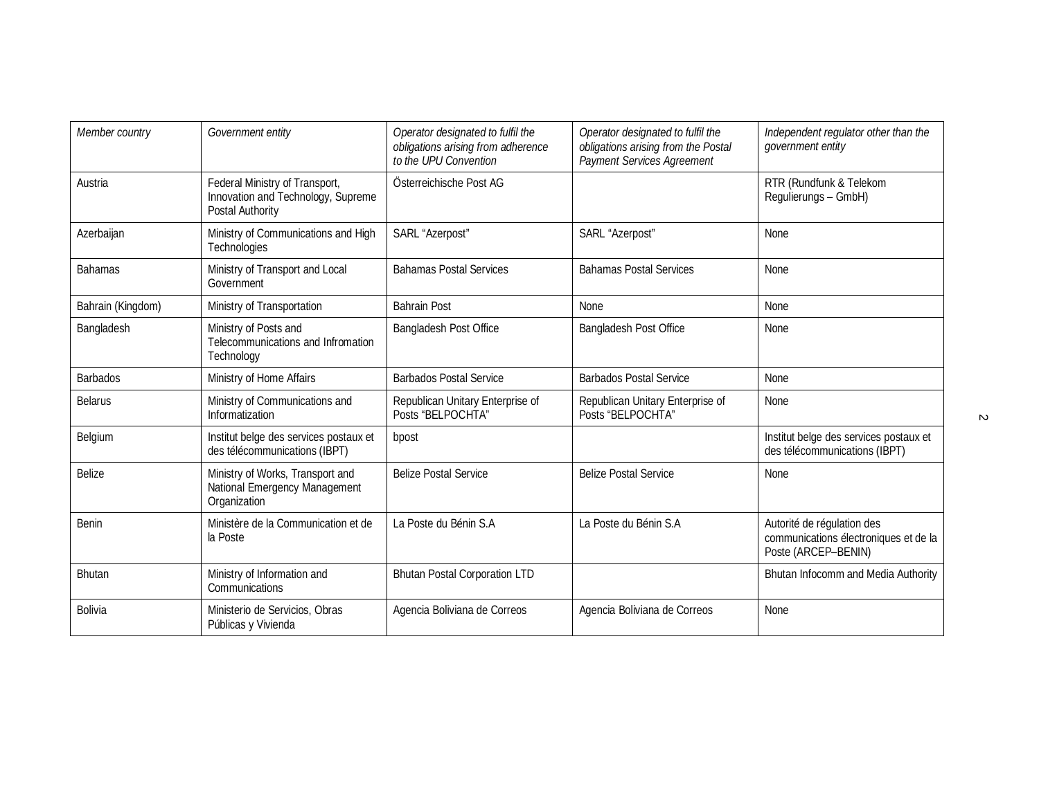| Member country    | Government entity                                                                        | Operator designated to fulfil the<br>obligations arising from adherence<br>to the UPU Convention | Operator designated to fulfil the<br>obligations arising from the Postal<br>Payment Services Agreement | Independent regulator other than the<br>government entity                                  |
|-------------------|------------------------------------------------------------------------------------------|--------------------------------------------------------------------------------------------------|--------------------------------------------------------------------------------------------------------|--------------------------------------------------------------------------------------------|
| Austria           | Federal Ministry of Transport,<br>Innovation and Technology, Supreme<br>Postal Authority | Österreichische Post AG                                                                          |                                                                                                        | RTR (Rundfunk & Telekom<br>Regulierungs - GmbH)                                            |
| Azerbaijan        | Ministry of Communications and High<br>Technologies                                      | SARL "Azerpost"                                                                                  | SARL "Azerpost"                                                                                        | None                                                                                       |
| <b>Bahamas</b>    | Ministry of Transport and Local<br>Government                                            | <b>Bahamas Postal Services</b>                                                                   | <b>Bahamas Postal Services</b>                                                                         | None                                                                                       |
| Bahrain (Kingdom) | Ministry of Transportation                                                               | <b>Bahrain Post</b>                                                                              | <b>None</b>                                                                                            | None                                                                                       |
| Bangladesh        | Ministry of Posts and<br>Telecommunications and Infromation<br>Technology                | Bangladesh Post Office                                                                           | <b>Bangladesh Post Office</b>                                                                          | None                                                                                       |
| <b>Barbados</b>   | Ministry of Home Affairs                                                                 | <b>Barbados Postal Service</b>                                                                   | <b>Barbados Postal Service</b>                                                                         | None                                                                                       |
| <b>Belarus</b>    | Ministry of Communications and<br>Informatization                                        | Republican Unitary Enterprise of<br>Posts "BELPOCHTA"                                            | Republican Unitary Enterprise of<br>Posts "BELPOCHTA"                                                  | None                                                                                       |
| Belgium           | Institut belge des services postaux et<br>des télécommunications (IBPT)                  | bpost                                                                                            |                                                                                                        | Institut belge des services postaux et<br>des télécommunications (IBPT)                    |
| <b>Belize</b>     | Ministry of Works, Transport and<br>National Emergency Management<br>Organization        | <b>Belize Postal Service</b>                                                                     | <b>Belize Postal Service</b>                                                                           | None                                                                                       |
| Benin             | Ministère de la Communication et de<br>la Poste                                          | La Poste du Bénin S.A                                                                            | La Poste du Bénin S.A                                                                                  | Autorité de régulation des<br>communications électroniques et de la<br>Poste (ARCEP-BENIN) |
| Bhutan            | Ministry of Information and<br>Communications                                            | <b>Bhutan Postal Corporation LTD</b>                                                             |                                                                                                        | Bhutan Infocomm and Media Authority                                                        |
| <b>Bolivia</b>    | Ministerio de Servicios, Obras<br>Públicas y Vivienda                                    | Agencia Boliviana de Correos                                                                     | Agencia Boliviana de Correos                                                                           | None                                                                                       |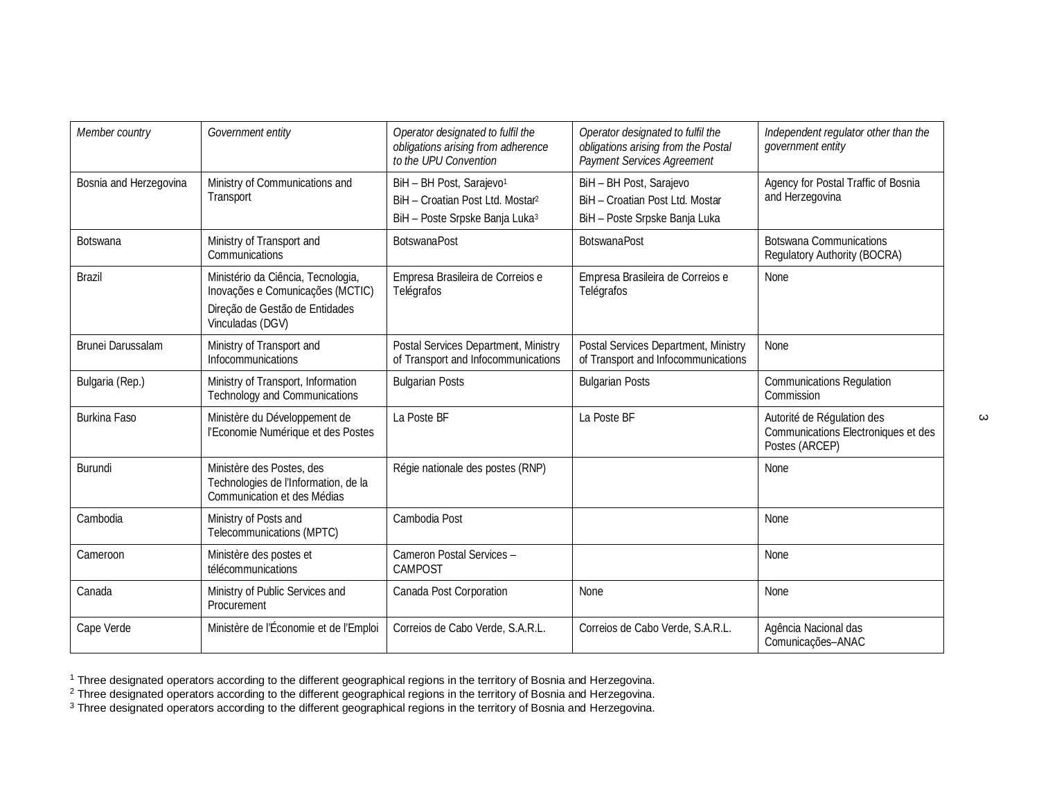| Member country         | Government entity                                                                                                            | Operator designated to fulfil the<br>obligations arising from adherence<br>to the UPU Convention                                   | Operator designated to fulfil the<br>obligations arising from the Postal<br>Payment Services Agreement | Independent regulator other than the<br>government entity                           |
|------------------------|------------------------------------------------------------------------------------------------------------------------------|------------------------------------------------------------------------------------------------------------------------------------|--------------------------------------------------------------------------------------------------------|-------------------------------------------------------------------------------------|
| Bosnia and Herzegovina | Ministry of Communications and<br>Transport                                                                                  | BiH - BH Post, Sarajevo <sup>1</sup><br>BiH - Croatian Post Ltd. Mostar <sup>2</sup><br>BiH - Poste Srpske Banja Luka <sup>3</sup> | BiH - BH Post, Sarajevo<br>BiH - Croatian Post Ltd. Mostar<br>BiH - Poste Srpske Banja Luka            | Agency for Postal Traffic of Bosnia<br>and Herzegovina                              |
| <b>Botswana</b>        | Ministry of Transport and<br>Communications                                                                                  | <b>BotswanaPost</b>                                                                                                                | <b>BotswanaPost</b>                                                                                    | <b>Botswana Communications</b><br><b>Regulatory Authority (BOCRA)</b>               |
| <b>Brazil</b>          | Ministério da Ciência, Tecnologia,<br>Inovações e Comunicações (MCTIC)<br>Direção de Gestão de Entidades<br>Vinculadas (DGV) | Empresa Brasileira de Correios e<br>Telégrafos                                                                                     | Empresa Brasileira de Correios e<br>Telégrafos                                                         | None                                                                                |
| Brunei Darussalam      | Ministry of Transport and<br>Infocommunications                                                                              | Postal Services Department, Ministry<br>of Transport and Infocommunications                                                        | Postal Services Department, Ministry<br>of Transport and Infocommunications                            | None                                                                                |
| Bulgaria (Rep.)        | Ministry of Transport, Information<br><b>Technology and Communications</b>                                                   | <b>Bulgarian Posts</b>                                                                                                             | <b>Bulgarian Posts</b>                                                                                 | <b>Communications Regulation</b><br>Commission                                      |
| <b>Burkina Faso</b>    | Ministère du Développement de<br>l'Economie Numérique et des Postes                                                          | La Poste BF                                                                                                                        | La Poste BF                                                                                            | Autorité de Régulation des<br>Communications Electroniques et des<br>Postes (ARCEP) |
| Burundi                | Ministère des Postes, des<br>Technologies de l'Information, de la<br>Communication et des Médias                             | Régie nationale des postes (RNP)                                                                                                   |                                                                                                        | None                                                                                |
| Cambodia               | Ministry of Posts and<br>Telecommunications (MPTC)                                                                           | Cambodia Post                                                                                                                      |                                                                                                        | None                                                                                |
| Cameroon               | Ministère des postes et<br>télécommunications                                                                                | Cameron Postal Services -<br><b>CAMPOST</b>                                                                                        |                                                                                                        | None                                                                                |
| Canada                 | Ministry of Public Services and<br>Procurement                                                                               | Canada Post Corporation                                                                                                            | None                                                                                                   | None                                                                                |
| Cape Verde             | Ministère de l'Économie et de l'Emploi                                                                                       | Correios de Cabo Verde, S.A.R.L.                                                                                                   | Correios de Cabo Verde, S.A.R.L.                                                                       | Agência Nacional das<br>Comunicações-ANAC                                           |

 $^1$  Three designated operators according to the different geographical regions in the territory of Bosnia and Herzegovina.

 $^2$  Three designated operators according to the different geographical regions in the territory of Bosnia and Herzegovina.

 $^3$  Three designated operators according to the different geographical regions in the territory of Bosnia and Herzegovina.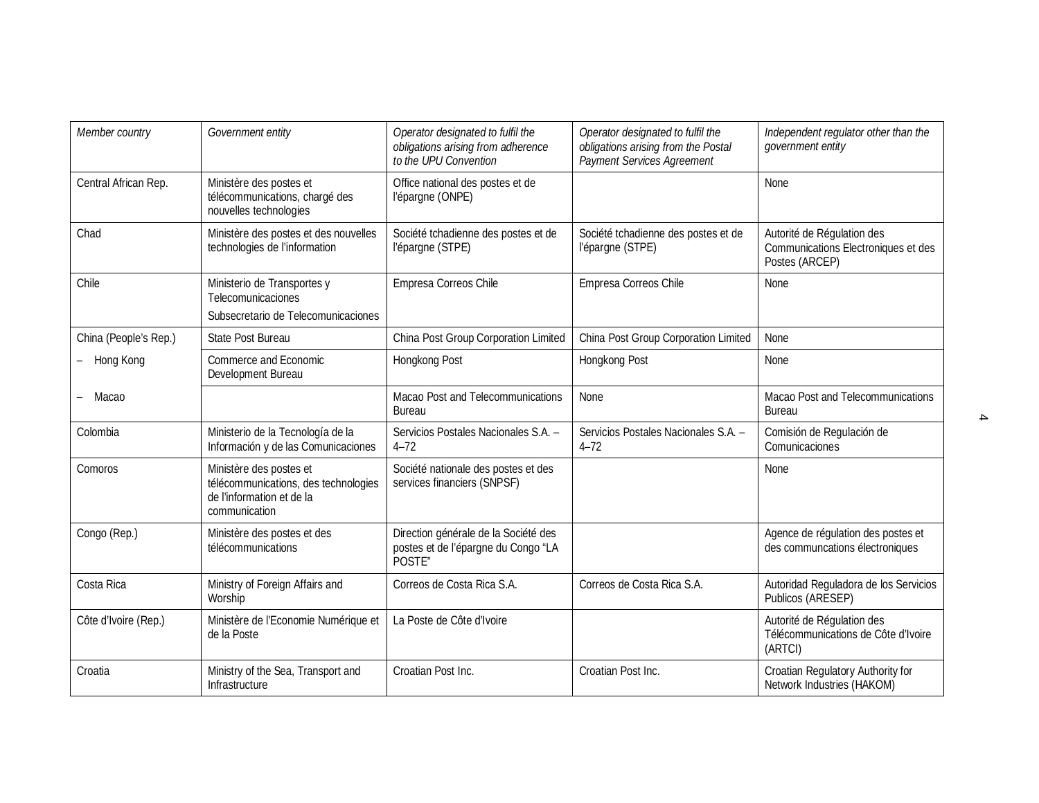| Member country        | Government entity                                                                                             | Operator designated to fulfil the<br>obligations arising from adherence<br>to the UPU Convention | Operator designated to fulfil the<br>obligations arising from the Postal<br><b>Payment Services Agreement</b> | Independent regulator other than the<br>government entity                           |
|-----------------------|---------------------------------------------------------------------------------------------------------------|--------------------------------------------------------------------------------------------------|---------------------------------------------------------------------------------------------------------------|-------------------------------------------------------------------------------------|
| Central African Rep.  | Ministère des postes et<br>télécommunications, chargé des<br>nouvelles technologies                           | Office national des postes et de<br>l'épargne (ONPE)                                             |                                                                                                               | None                                                                                |
| Chad                  | Ministère des postes et des nouvelles<br>technologies de l'information                                        | Société tchadienne des postes et de<br>l'épargne (STPE)                                          | Société tchadienne des postes et de<br>l'épargne (STPE)                                                       | Autorité de Régulation des<br>Communications Electroniques et des<br>Postes (ARCEP) |
| Chile                 | Ministerio de Transportes y<br>Telecomunicaciones<br>Subsecretario de Telecomunicaciones                      | Empresa Correos Chile                                                                            | Empresa Correos Chile                                                                                         | None                                                                                |
| China (People's Rep.) | State Post Bureau                                                                                             | China Post Group Corporation Limited                                                             | China Post Group Corporation Limited                                                                          | None                                                                                |
| - Hong Kong           | Commerce and Economic<br>Development Bureau                                                                   | Hongkong Post                                                                                    | Hongkong Post                                                                                                 | None                                                                                |
| Macao                 |                                                                                                               | <b>Macao Post and Telecommunications</b><br><b>Bureau</b>                                        | None                                                                                                          | Macao Post and Telecommunications<br><b>Bureau</b>                                  |
| Colombia              | Ministerio de la Tecnología de la<br>Información y de las Comunicaciones                                      | Servicios Postales Nacionales S.A. -<br>$4 - 72$                                                 | Servicios Postales Nacionales S.A. -<br>$4 - 72$                                                              | Comisión de Regulación de<br>Comunicaciones                                         |
| Comoros               | Ministère des postes et<br>télécommunications, des technologies<br>de l'information et de la<br>communication | Société nationale des postes et des<br>services financiers (SNPSF)                               |                                                                                                               | None                                                                                |
| Congo (Rep.)          | Ministère des postes et des<br>télécommunications                                                             | Direction générale de la Société des<br>postes et de l'épargne du Congo "LA<br>POSTE"            |                                                                                                               | Agence de régulation des postes et<br>des communcations électroniques               |
| Costa Rica            | Ministry of Foreign Affairs and<br>Worship                                                                    | Correos de Costa Rica S.A.                                                                       | Correos de Costa Rica S.A.                                                                                    | Autoridad Reguladora de los Servicios<br>Publicos (ARESEP)                          |
| Côte d'Ivoire (Rep.)  | Ministère de l'Economie Numérique et<br>de la Poste                                                           | La Poste de Côte d'Ivoire                                                                        |                                                                                                               | Autorité de Régulation des<br>Télécommunications de Côte d'Ivoire<br>(ARTCI)        |
| Croatia               | Ministry of the Sea, Transport and<br>Infrastructure                                                          | Croatian Post Inc.                                                                               | Croatian Post Inc.                                                                                            | Croatian Regulatory Authority for<br>Network Industries (HAKOM)                     |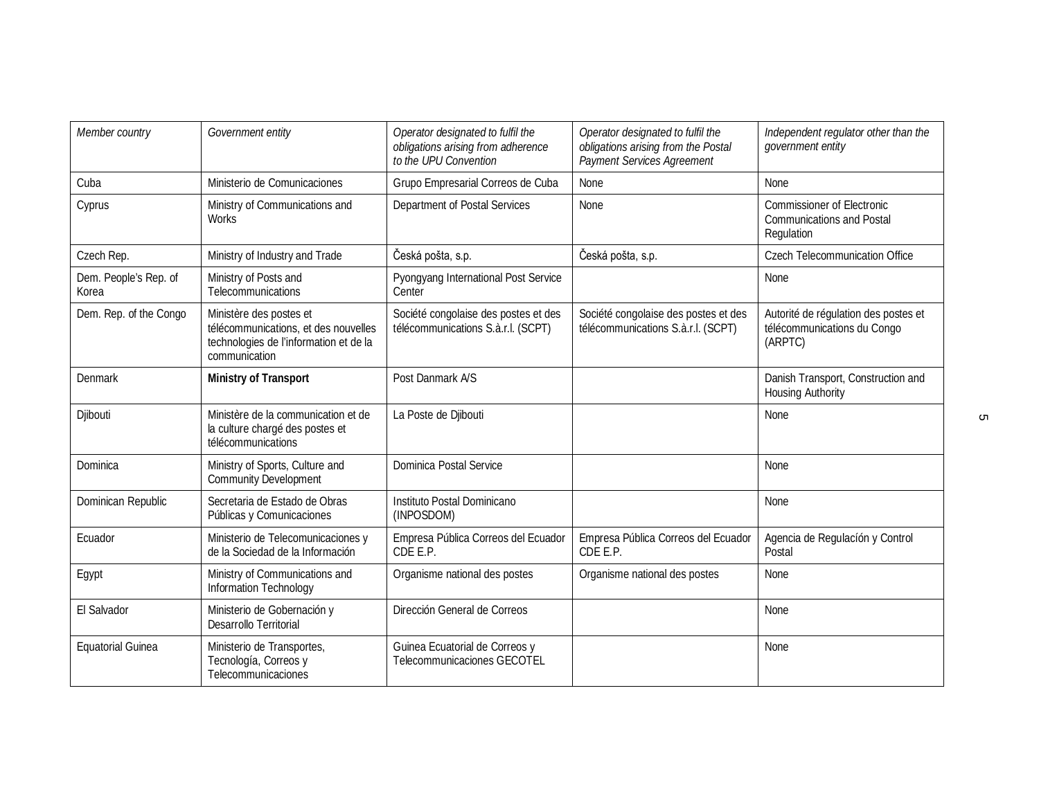| Member country                 | Government entity                                                                                                          | Operator designated to fulfil the<br>obligations arising from adherence<br>to the UPU Convention | Operator designated to fulfil the<br>obligations arising from the Postal<br><b>Payment Services Agreement</b> | Independent regulator other than the<br>government entity                           |
|--------------------------------|----------------------------------------------------------------------------------------------------------------------------|--------------------------------------------------------------------------------------------------|---------------------------------------------------------------------------------------------------------------|-------------------------------------------------------------------------------------|
| Cuba                           | Ministerio de Comunicaciones                                                                                               | Grupo Empresarial Correos de Cuba                                                                | <b>None</b>                                                                                                   | None                                                                                |
| Cyprus                         | Ministry of Communications and<br>Works                                                                                    | Department of Postal Services                                                                    | None                                                                                                          | <b>Commissioner of Electronic</b><br><b>Communications and Postal</b><br>Regulation |
| Czech Rep.                     | Ministry of Industry and Trade                                                                                             | Česká pošta, s.p.                                                                                | Česká pošta, s.p.                                                                                             | <b>Czech Telecommunication Office</b>                                               |
| Dem. People's Rep. of<br>Korea | Ministry of Posts and<br>Telecommunications                                                                                | Pyongyang International Post Service<br>Center                                                   |                                                                                                               | None                                                                                |
| Dem. Rep. of the Congo         | Ministère des postes et<br>télécommunications, et des nouvelles<br>technologies de l'information et de la<br>communication | Société congolaise des postes et des<br>télécommunications S.a.r.l. (SCPT)                       | Société congolaise des postes et des<br>télécommunications S.a.r.l. (SCPT)                                    | Autorité de régulation des postes et<br>télécommunications du Congo<br>(ARPTC)      |
| Denmark                        | <b>Ministry of Transport</b>                                                                                               | Post Danmark A/S                                                                                 |                                                                                                               | Danish Transport, Construction and<br><b>Housing Authority</b>                      |
| Djibouti                       | Ministère de la communication et de<br>la culture chargé des postes et<br>télécommunications                               | La Poste de Djibouti                                                                             |                                                                                                               | None                                                                                |
| Dominica                       | Ministry of Sports, Culture and<br><b>Community Development</b>                                                            | Dominica Postal Service                                                                          |                                                                                                               | None                                                                                |
| Dominican Republic             | Secretaria de Estado de Obras<br>Públicas y Comunicaciones                                                                 | Instituto Postal Dominicano<br>(INPOSDOM)                                                        |                                                                                                               | None                                                                                |
| Ecuador                        | Ministerio de Telecomunicaciones y<br>de la Sociedad de la Información                                                     | Empresa Pública Correos del Ecuador<br>CDE E.P.                                                  | Empresa Pública Correos del Ecuador<br>CDE E.P.                                                               | Agencia de Regulación y Control<br>Postal                                           |
| Egypt                          | Ministry of Communications and<br>Information Technology                                                                   | Organisme national des postes                                                                    | Organisme national des postes                                                                                 | None                                                                                |
| El Salvador                    | Ministerio de Gobernación y<br>Desarrollo Territorial                                                                      | Dirección General de Correos                                                                     |                                                                                                               | None                                                                                |
| <b>Equatorial Guinea</b>       | Ministerio de Transportes,<br>Tecnología, Correos y<br>Telecommunicaciones                                                 | Guinea Ecuatorial de Correos y<br>Telecommunicaciones GECOTEL                                    |                                                                                                               | None                                                                                |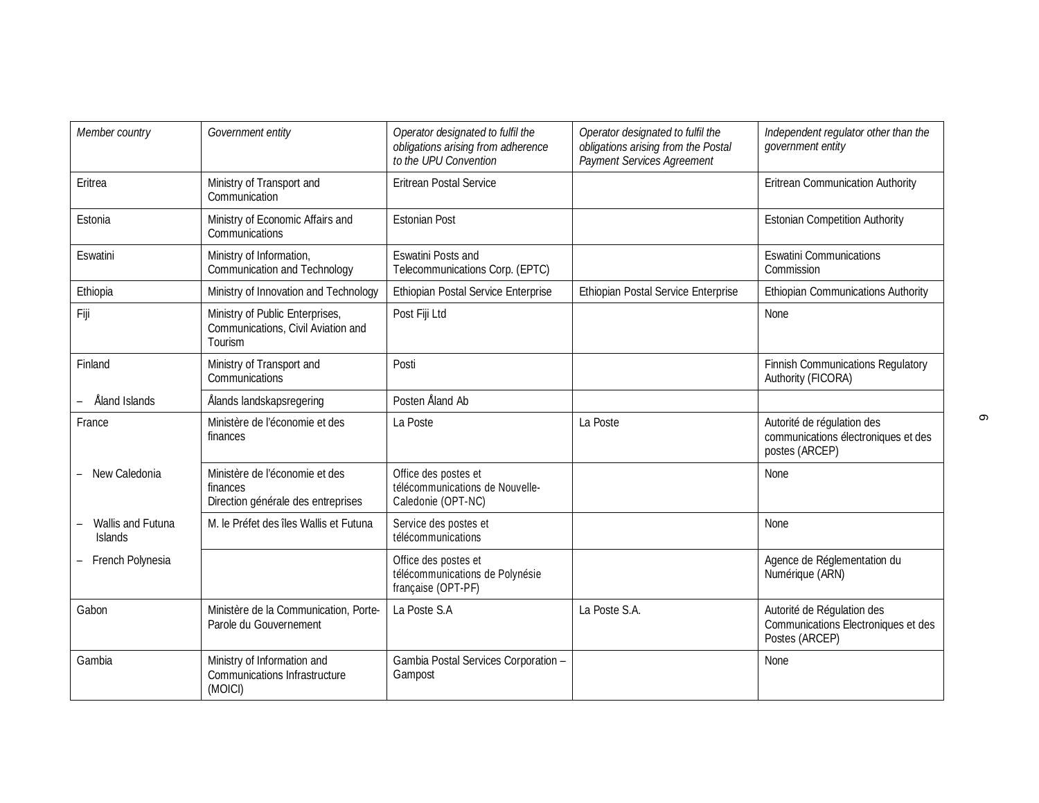| Member country                      | Government entity                                                                | Operator designated to fulfil the<br>obligations arising from adherence<br>to the UPU Convention | Operator designated to fulfil the<br>obligations arising from the Postal<br><b>Payment Services Agreement</b> | Independent regulator other than the<br>government entity                           |
|-------------------------------------|----------------------------------------------------------------------------------|--------------------------------------------------------------------------------------------------|---------------------------------------------------------------------------------------------------------------|-------------------------------------------------------------------------------------|
| Eritrea                             | Ministry of Transport and<br>Communication                                       | <b>Eritrean Postal Service</b>                                                                   |                                                                                                               | <b>Eritrean Communication Authority</b>                                             |
| Estonia                             | Ministry of Economic Affairs and<br>Communications                               | <b>Estonian Post</b>                                                                             |                                                                                                               | <b>Estonian Competition Authority</b>                                               |
| Eswatini                            | Ministry of Information,<br><b>Communication and Technology</b>                  | <b>Eswatini Posts and</b><br>Telecommunications Corp. (EPTC)                                     |                                                                                                               | <b>Eswatini Communications</b><br>Commission                                        |
| Ethiopia                            | Ministry of Innovation and Technology                                            | Ethiopian Postal Service Enterprise                                                              | Ethiopian Postal Service Enterprise                                                                           | <b>Ethiopian Communications Authority</b>                                           |
| Fiji                                | Ministry of Public Enterprises,<br>Communications, Civil Aviation and<br>Tourism | Post Fiji Ltd                                                                                    |                                                                                                               | None                                                                                |
| Finland                             | Ministry of Transport and<br><b>Communications</b>                               | Posti                                                                                            |                                                                                                               | <b>Finnish Communications Regulatory</b><br>Authority (FICORA)                      |
| Åland Islands                       | Ålands landskapsregering                                                         | Posten Åland Ab                                                                                  |                                                                                                               |                                                                                     |
| France                              | Ministère de l'économie et des<br>finances                                       | La Poste                                                                                         | La Poste                                                                                                      | Autorité de régulation des<br>communications électroniques et des<br>postes (ARCEP) |
| New Caledonia                       | Ministère de l'économie et des<br>finances<br>Direction générale des entreprises | Office des postes et<br>télécommunications de Nouvelle-<br>Caledonie (OPT-NC)                    |                                                                                                               | None                                                                                |
| Wallis and Futuna<br><b>Islands</b> | M. le Préfet des îles Wallis et Futuna                                           | Service des postes et<br>télécommunications                                                      |                                                                                                               | None                                                                                |
| French Polynesia                    |                                                                                  | Office des postes et<br>télécommunications de Polynésie<br>française (OPT-PF)                    |                                                                                                               | Agence de Réglementation du<br>Numérique (ARN)                                      |
| Gabon                               | Ministère de la Communication, Porte-<br>Parole du Gouvernement                  | La Poste S.A                                                                                     | La Poste S.A.                                                                                                 | Autorité de Régulation des<br>Communications Electroniques et des<br>Postes (ARCEP) |
| Gambia                              | Ministry of Information and<br><b>Communications Infrastructure</b><br>(MOICI)   | Gambia Postal Services Corporation -<br>Gampost                                                  |                                                                                                               | None                                                                                |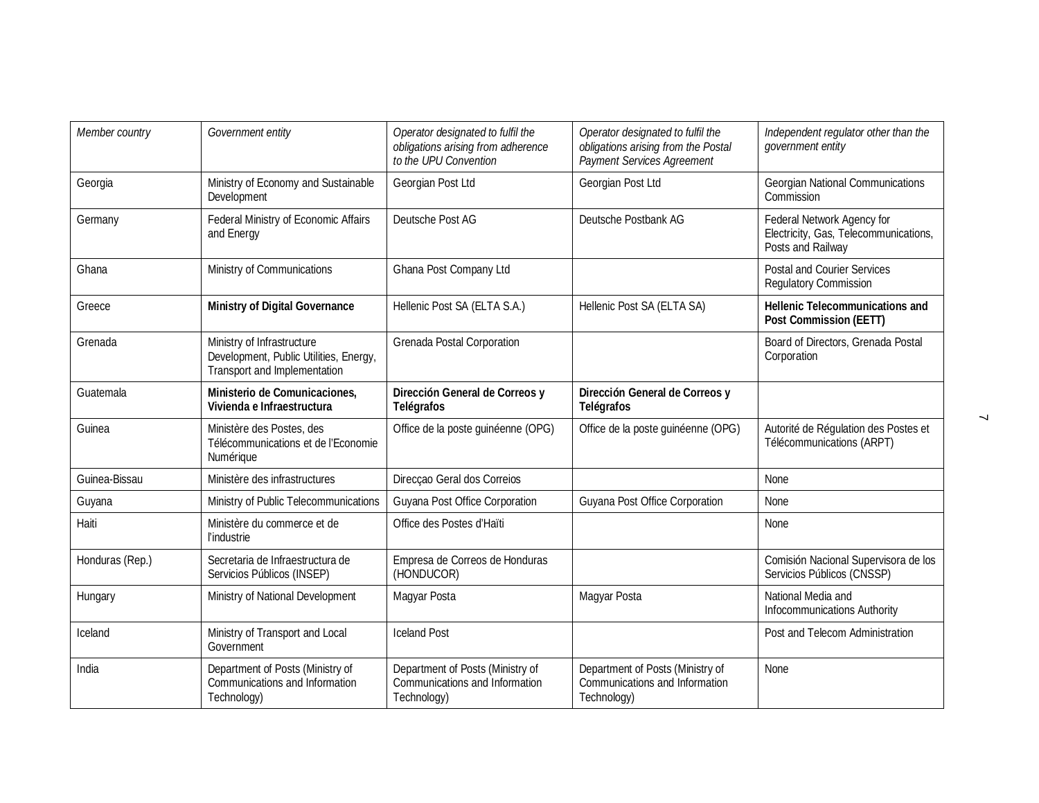| Member country  | Government entity                                                                                    | Operator designated to fulfil the<br>obligations arising from adherence<br>to the UPU Convention | Operator designated to fulfil the<br>obligations arising from the Postal<br>Payment Services Agreement | Independent regulator other than the<br>government entity                                |
|-----------------|------------------------------------------------------------------------------------------------------|--------------------------------------------------------------------------------------------------|--------------------------------------------------------------------------------------------------------|------------------------------------------------------------------------------------------|
| Georgia         | Ministry of Economy and Sustainable<br>Development                                                   | Georgian Post Ltd                                                                                | Georgian Post Ltd                                                                                      | <b>Georgian National Communications</b><br>Commission                                    |
| Germany         | Federal Ministry of Economic Affairs<br>and Energy                                                   | Deutsche Post AG                                                                                 | Deutsche Postbank AG                                                                                   | Federal Network Agency for<br>Electricity, Gas, Telecommunications,<br>Posts and Railway |
| Ghana           | Ministry of Communications                                                                           | Ghana Post Company Ltd                                                                           |                                                                                                        | <b>Postal and Courier Services</b><br><b>Regulatory Commission</b>                       |
| Greece          | <b>Ministry of Digital Governance</b>                                                                | Hellenic Post SA (ELTA S.A.)                                                                     | Hellenic Post SA (ELTA SA)                                                                             | <b>Hellenic Telecommunications and</b><br><b>Post Commission (EETT)</b>                  |
| Grenada         | Ministry of Infrastructure<br>Development, Public Utilities, Energy,<br>Transport and Implementation | Grenada Postal Corporation                                                                       |                                                                                                        | Board of Directors, Grenada Postal<br>Corporation                                        |
| Guatemala       | Ministerio de Comunicaciones,<br>Vivienda e Infraestructura                                          | Dirección General de Correos y<br><b>Telégrafos</b>                                              | Dirección General de Correos y<br><b>Telégrafos</b>                                                    |                                                                                          |
| Guinea          | Ministère des Postes, des<br>Télécommunications et de l'Economie<br>Numérique                        | Office de la poste guinéenne (OPG)                                                               | Office de la poste guinéenne (OPG)                                                                     | Autorité de Régulation des Postes et<br>Télécommunications (ARPT)                        |
| Guinea-Bissau   | Ministère des infrastructures                                                                        | Direcçao Geral dos Correios                                                                      |                                                                                                        | None                                                                                     |
| Guyana          | Ministry of Public Telecommunications                                                                | Guyana Post Office Corporation                                                                   | Guyana Post Office Corporation                                                                         | None                                                                                     |
| Haiti           | Ministère du commerce et de<br>l'industrie                                                           | Office des Postes d'Haïti                                                                        |                                                                                                        | None                                                                                     |
| Honduras (Rep.) | Secretaria de Infraestructura de<br>Servicios Públicos (INSEP)                                       | Empresa de Correos de Honduras<br>(HONDUCOR)                                                     |                                                                                                        | Comisión Nacional Supervisora de los<br>Servicios Públicos (CNSSP)                       |
| Hungary         | Ministry of National Development                                                                     | Magyar Posta                                                                                     | Magyar Posta                                                                                           | National Media and<br>Infocommunications Authority                                       |
| Iceland         | Ministry of Transport and Local<br>Government                                                        | <b>Iceland Post</b>                                                                              |                                                                                                        | Post and Telecom Administration                                                          |
| India           | Department of Posts (Ministry of<br>Communications and Information<br>Technology)                    | Department of Posts (Ministry of<br>Communications and Information<br>Technology)                | Department of Posts (Ministry of<br>Communications and Information<br>Technology)                      | None                                                                                     |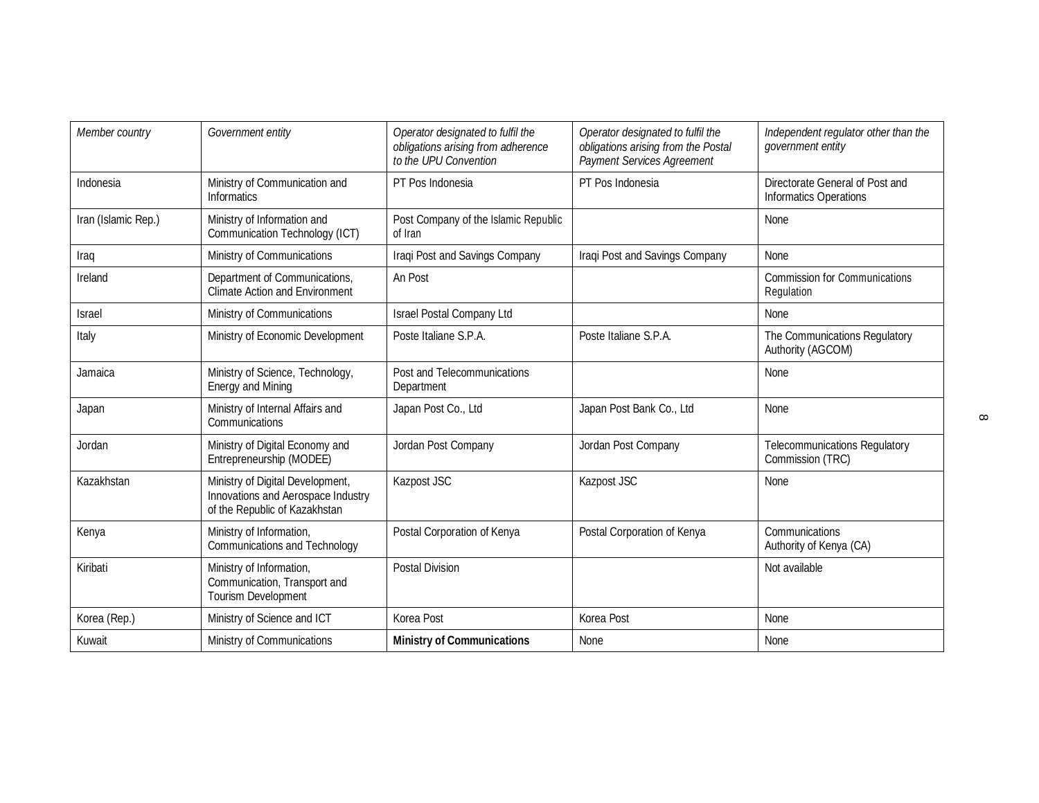| Member country      | Government entity                                                                                       | Operator designated to fulfil the<br>obligations arising from adherence<br>to the UPU Convention | Operator designated to fulfil the<br>obligations arising from the Postal<br>Payment Services Agreement | Independent regulator other than the<br>government entity        |
|---------------------|---------------------------------------------------------------------------------------------------------|--------------------------------------------------------------------------------------------------|--------------------------------------------------------------------------------------------------------|------------------------------------------------------------------|
| Indonesia           | Ministry of Communication and<br><b>Informatics</b>                                                     | PT Pos Indonesia                                                                                 | PT Pos Indonesia                                                                                       | Directorate General of Post and<br><b>Informatics Operations</b> |
| Iran (Islamic Rep.) | Ministry of Information and<br>Communication Technology (ICT)                                           | Post Company of the Islamic Republic<br>of Iran                                                  |                                                                                                        | None                                                             |
| Iraq                | Ministry of Communications                                                                              | Iraqi Post and Savings Company                                                                   | Iraqi Post and Savings Company                                                                         | None                                                             |
| Ireland             | Department of Communications,<br><b>Climate Action and Environment</b>                                  | An Post                                                                                          |                                                                                                        | <b>Commission for Communications</b><br>Regulation               |
| <b>Israel</b>       | Ministry of Communications                                                                              | <b>Israel Postal Company Ltd</b>                                                                 |                                                                                                        | None                                                             |
| Italy               | Ministry of Economic Development                                                                        | Poste Italiane S.P.A.                                                                            | Poste Italiane S.P.A.                                                                                  | The Communications Regulatory<br>Authority (AGCOM)               |
| Jamaica             | Ministry of Science, Technology,<br><b>Energy and Mining</b>                                            | Post and Telecommunications<br>Department                                                        |                                                                                                        | None                                                             |
| Japan               | Ministry of Internal Affairs and<br>Communications                                                      | Japan Post Co., Ltd                                                                              | Japan Post Bank Co., Ltd                                                                               | None                                                             |
| Jordan              | Ministry of Digital Economy and<br>Entrepreneurship (MODEE)                                             | Jordan Post Company                                                                              | Jordan Post Company                                                                                    | <b>Telecommunications Regulatory</b><br>Commission (TRC)         |
| Kazakhstan          | Ministry of Digital Development,<br>Innovations and Aerospace Industry<br>of the Republic of Kazakhstan | Kazpost JSC                                                                                      | Kazpost JSC                                                                                            | None                                                             |
| Kenya               | Ministry of Information,<br><b>Communications and Technology</b>                                        | Postal Corporation of Kenya                                                                      | Postal Corporation of Kenya                                                                            | Communications<br>Authority of Kenya (CA)                        |
| Kiribati            | Ministry of Information,<br>Communication, Transport and<br><b>Tourism Development</b>                  | <b>Postal Division</b>                                                                           |                                                                                                        | Not available                                                    |
| Korea (Rep.)        | Ministry of Science and ICT                                                                             | Korea Post                                                                                       | Korea Post                                                                                             | None                                                             |
| Kuwait              | Ministry of Communications                                                                              | <b>Ministry of Communications</b>                                                                | None                                                                                                   | None                                                             |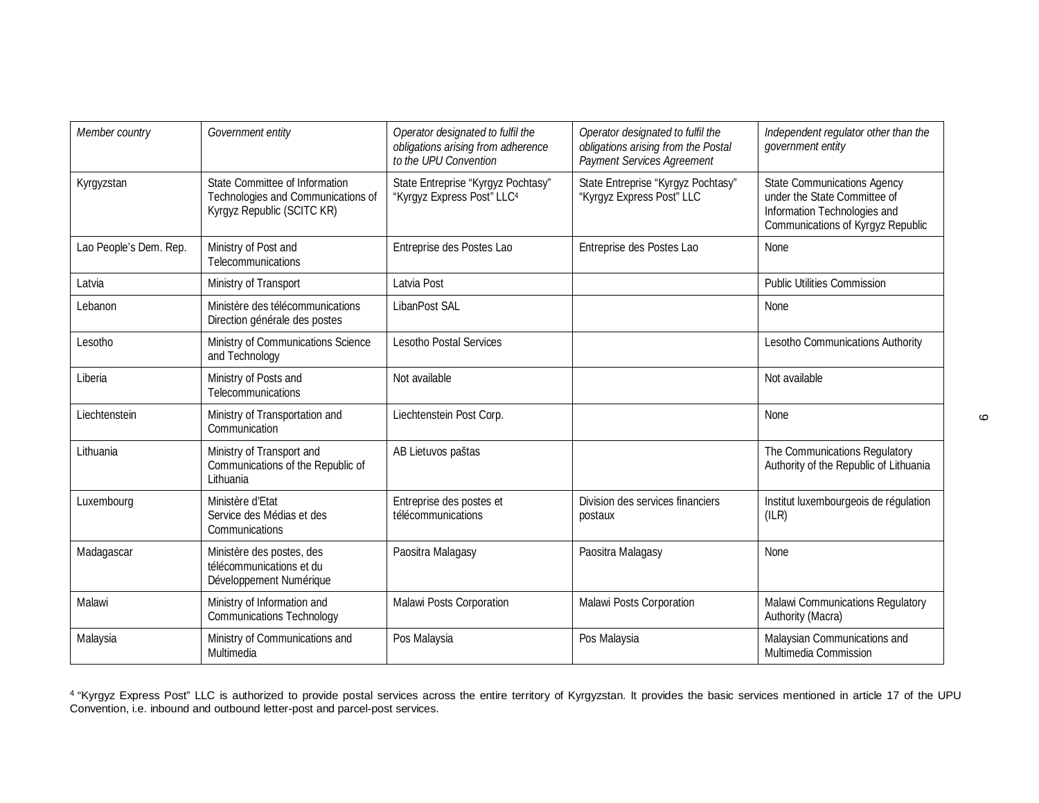| Member country         | Government entity                                                                                  | Operator designated to fulfil the<br>obligations arising from adherence<br>to the UPU Convention | Operator designated to fulfil the<br>obligations arising from the Postal<br>Payment Services Agreement | Independent regulator other than the<br>government entity                                                                               |
|------------------------|----------------------------------------------------------------------------------------------------|--------------------------------------------------------------------------------------------------|--------------------------------------------------------------------------------------------------------|-----------------------------------------------------------------------------------------------------------------------------------------|
| Kyrgyzstan             | State Committee of Information<br>Technologies and Communications of<br>Kyrgyz Republic (SCITC KR) | State Entreprise "Kyrgyz Pochtasy"<br>"Kyrgyz Express Post" LLC <sup>4</sup>                     | State Entreprise "Kyrgyz Pochtasy"<br>"Kyrgyz Express Post" LLC                                        | <b>State Communications Agency</b><br>under the State Committee of<br>Information Technologies and<br>Communications of Kyrgyz Republic |
| Lao People's Dem. Rep. | Ministry of Post and<br>Telecommunications                                                         | Entreprise des Postes Lao                                                                        | Entreprise des Postes Lao                                                                              | None                                                                                                                                    |
| Latvia                 | Ministry of Transport                                                                              | Latvia Post                                                                                      |                                                                                                        | <b>Public Utilities Commission</b>                                                                                                      |
| Lebanon                | Ministère des télécommunications<br>Direction générale des postes                                  | <b>LibanPost SAL</b>                                                                             |                                                                                                        | <b>None</b>                                                                                                                             |
| Lesotho                | Ministry of Communications Science<br>and Technology                                               | <b>Lesotho Postal Services</b>                                                                   |                                                                                                        | Lesotho Communications Authority                                                                                                        |
| Liberia                | Ministry of Posts and<br>Telecommunications                                                        | Not available                                                                                    |                                                                                                        | Not available                                                                                                                           |
| Liechtenstein          | Ministry of Transportation and<br>Communication                                                    | Liechtenstein Post Corp.                                                                         |                                                                                                        | None                                                                                                                                    |
| Lithuania              | Ministry of Transport and<br>Communications of the Republic of<br>Lithuania                        | AB Lietuvos paštas                                                                               |                                                                                                        | The Communications Regulatory<br>Authority of the Republic of Lithuania                                                                 |
| Luxembourg             | Ministère d'Etat<br>Service des Médias et des<br>Communications                                    | Entreprise des postes et<br>télécommunications                                                   | Division des services financiers<br>postaux                                                            | Institut luxembourgeois de régulation<br>(ILR)                                                                                          |
| Madagascar             | Ministère des postes, des<br>télécommunications et du<br>Développement Numérique                   | Paositra Malagasy                                                                                | Paositra Malagasy                                                                                      | None                                                                                                                                    |
| Malawi                 | Ministry of Information and<br><b>Communications Technology</b>                                    | Malawi Posts Corporation                                                                         | Malawi Posts Corporation                                                                               | Malawi Communications Regulatory<br>Authority (Macra)                                                                                   |
| Malaysia               | Ministry of Communications and<br>Multimedia                                                       | Pos Malaysia                                                                                     | Pos Malaysia                                                                                           | Malaysian Communications and<br>Multimedia Commission                                                                                   |

<sup>4</sup> "Kyrgyz Express Post" LLC is authorized to provide postal services across the entire territory of Kyrgyzstan. It provides the basic services mentioned in article 17 of the UPU Convention, i.e. inbound and outbound letter-post and parcel-post services.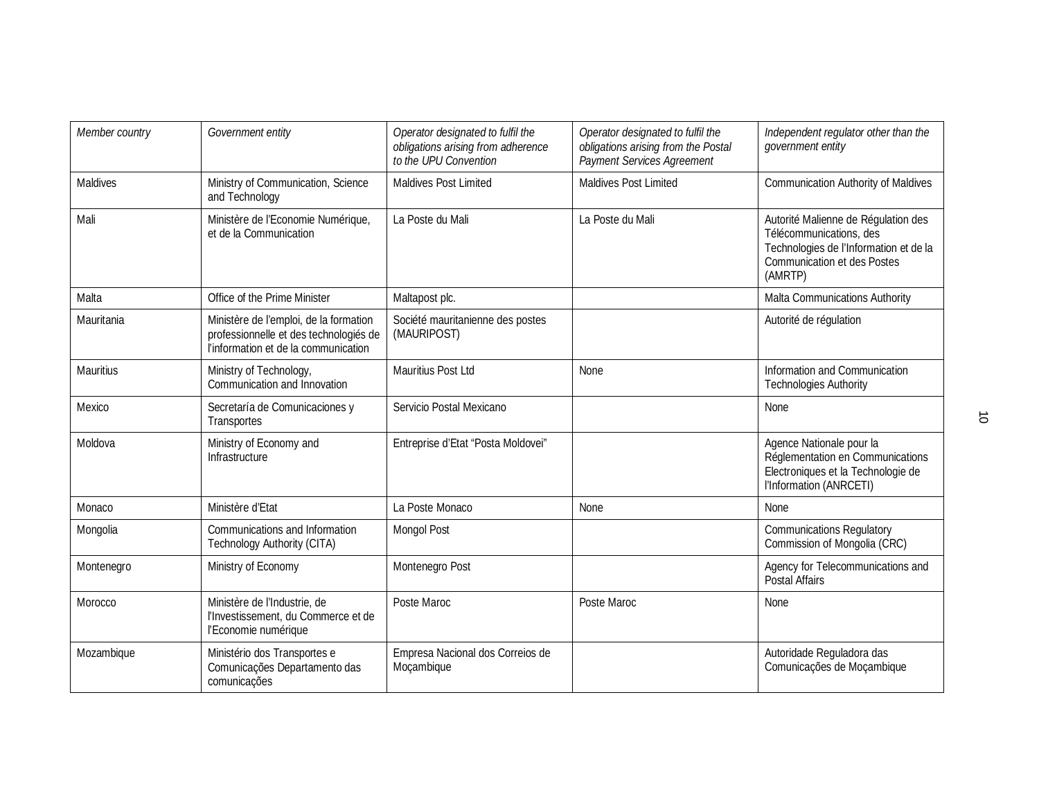| Member country   | Government entity                                                                                                        | Operator designated to fulfil the<br>obligations arising from adherence<br>to the UPU Convention | Operator designated to fulfil the<br>obligations arising from the Postal<br>Payment Services Agreement | Independent regulator other than the<br>government entity                                                                                          |
|------------------|--------------------------------------------------------------------------------------------------------------------------|--------------------------------------------------------------------------------------------------|--------------------------------------------------------------------------------------------------------|----------------------------------------------------------------------------------------------------------------------------------------------------|
| Maldives         | Ministry of Communication, Science<br>and Technology                                                                     | <b>Maldives Post Limited</b>                                                                     | <b>Maldives Post Limited</b>                                                                           | <b>Communication Authority of Maldives</b>                                                                                                         |
| Mali             | Ministère de l'Economie Numérique,<br>et de la Communication                                                             | La Poste du Mali                                                                                 | La Poste du Mali                                                                                       | Autorité Malienne de Régulation des<br>Télécommunications, des<br>Technologies de l'Information et de la<br>Communication et des Postes<br>(AMRTP) |
| Malta            | Office of the Prime Minister                                                                                             | Maltapost plc.                                                                                   |                                                                                                        | Malta Communications Authority                                                                                                                     |
| Mauritania       | Ministère de l'emploi, de la formation<br>professionnelle et des technologiés de<br>l'information et de la communication | Société mauritanienne des postes<br>(MAURIPOST)                                                  |                                                                                                        | Autorité de régulation                                                                                                                             |
| <b>Mauritius</b> | Ministry of Technology,<br>Communication and Innovation                                                                  | Mauritius Post Ltd                                                                               | None                                                                                                   | Information and Communication<br><b>Technologies Authority</b>                                                                                     |
| Mexico           | Secretaría de Comunicaciones y<br>Transportes                                                                            | Servicio Postal Mexicano                                                                         |                                                                                                        | <b>None</b>                                                                                                                                        |
| Moldova          | Ministry of Economy and<br>Infrastructure                                                                                | Entreprise d'Etat "Posta Moldovei"                                                               |                                                                                                        | Agence Nationale pour la<br>Réglementation en Communications<br>Electroniques et la Technologie de<br>l'Information (ANRCETI)                      |
| Monaco           | Ministère d'Etat                                                                                                         | La Poste Monaco                                                                                  | None                                                                                                   | None                                                                                                                                               |
| Mongolia         | Communications and Information<br>Technology Authority (CITA)                                                            | <b>Mongol Post</b>                                                                               |                                                                                                        | <b>Communications Regulatory</b><br>Commission of Mongolia (CRC)                                                                                   |
| Montenegro       | Ministry of Economy                                                                                                      | Montenegro Post                                                                                  |                                                                                                        | Agency for Telecommunications and<br>Postal Affairs                                                                                                |
| Morocco          | Ministère de l'Industrie, de<br>l'Investissement, du Commerce et de<br>l'Economie numérique                              | Poste Maroc                                                                                      | Poste Maroc                                                                                            | None                                                                                                                                               |
| Mozambique       | Ministério dos Transportes e<br>Comunicações Departamento das<br>comunicações                                            | Empresa Nacional dos Correios de<br>Moçambique                                                   |                                                                                                        | Autoridade Reguladora das<br>Comunicações de Moçambique                                                                                            |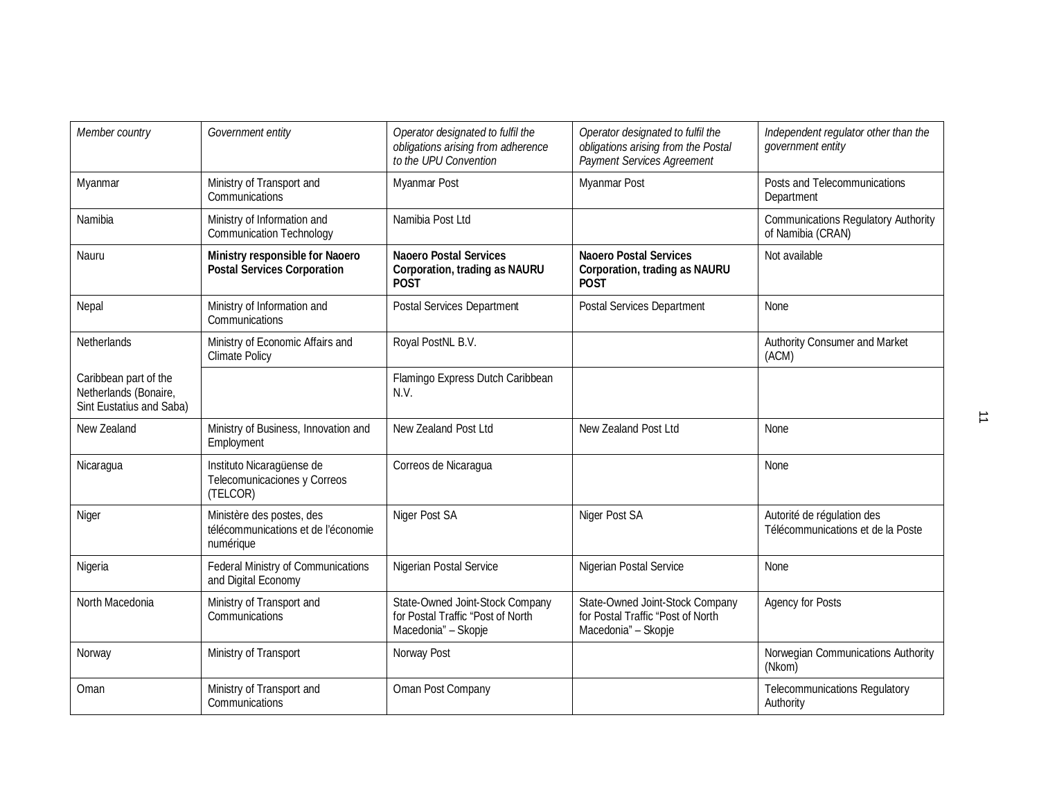| Member country                                                             | Government entity                                                             | Operator designated to fulfil the<br>obligations arising from adherence<br>to the UPU Convention | Operator designated to fulfil the<br>obligations arising from the Postal<br><b>Payment Services Agreement</b> | Independent regulator other than the<br>government entity       |
|----------------------------------------------------------------------------|-------------------------------------------------------------------------------|--------------------------------------------------------------------------------------------------|---------------------------------------------------------------------------------------------------------------|-----------------------------------------------------------------|
| Myanmar                                                                    | Ministry of Transport and<br>Communications                                   | Myanmar Post                                                                                     | Myanmar Post                                                                                                  | Posts and Telecommunications<br>Department                      |
| Namibia                                                                    | Ministry of Information and<br><b>Communication Technology</b>                | Namibia Post Ltd                                                                                 |                                                                                                               | <b>Communications Regulatory Authority</b><br>of Namibia (CRAN) |
| Nauru                                                                      | Ministry responsible for Naoero<br><b>Postal Services Corporation</b>         | <b>Naoero Postal Services</b><br><b>Corporation, trading as NAURU</b><br><b>POST</b>             | <b>Naoero Postal Services</b><br><b>Corporation, trading as NAURU</b><br><b>POST</b>                          | Not available                                                   |
| Nepal                                                                      | Ministry of Information and<br>Communications                                 | <b>Postal Services Department</b>                                                                | <b>Postal Services Department</b>                                                                             | <b>None</b>                                                     |
| Netherlands                                                                | Ministry of Economic Affairs and<br><b>Climate Policy</b>                     | Royal PostNL B.V.                                                                                |                                                                                                               | Authority Consumer and Market<br>(ACM)                          |
| Caribbean part of the<br>Netherlands (Bonaire,<br>Sint Eustatius and Saba) |                                                                               | Flamingo Express Dutch Caribbean<br>N.V.                                                         |                                                                                                               |                                                                 |
| New Zealand                                                                | Ministry of Business, Innovation and<br>Employment                            | New Zealand Post Ltd                                                                             | New Zealand Post Ltd                                                                                          | None                                                            |
| Nicaragua                                                                  | Instituto Nicaragüense de<br>Telecomunicaciones y Correos<br>(TELCOR)         | Correos de Nicaragua                                                                             |                                                                                                               | None                                                            |
| Niger                                                                      | Ministère des postes, des<br>télécommunications et de l'économie<br>numérique | Niger Post SA                                                                                    | Niger Post SA                                                                                                 | Autorité de régulation des<br>Télécommunications et de la Poste |
| Nigeria                                                                    | Federal Ministry of Communications<br>and Digital Economy                     | Nigerian Postal Service                                                                          | Nigerian Postal Service                                                                                       | None                                                            |
| North Macedonia                                                            | Ministry of Transport and<br>Communications                                   | State-Owned Joint-Stock Company<br>for Postal Traffic "Post of North<br>Macedonia" - Skopje      | State-Owned Joint-Stock Company<br>for Postal Traffic "Post of North<br>Macedonia" - Skopje                   | <b>Agency for Posts</b>                                         |
| Norway                                                                     | Ministry of Transport                                                         | Norway Post                                                                                      |                                                                                                               | Norwegian Communications Authority<br>(Nkom)                    |
| Oman                                                                       | Ministry of Transport and<br>Communications                                   | Oman Post Company                                                                                |                                                                                                               | <b>Telecommunications Regulatory</b><br>Authority               |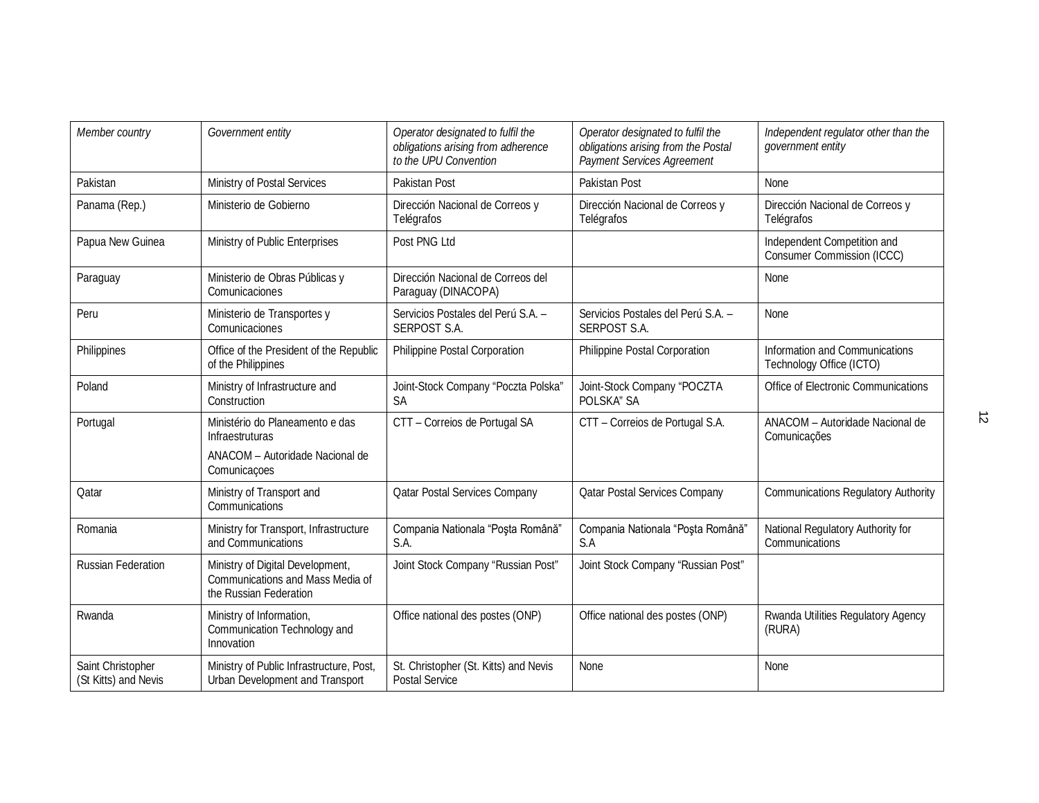| Member country                            | Government entity                                                                                     | Operator designated to fulfil the<br>obligations arising from adherence<br>to the UPU Convention | Operator designated to fulfil the<br>obligations arising from the Postal<br>Payment Services Agreement | Independent regulator other than the<br>government entity        |
|-------------------------------------------|-------------------------------------------------------------------------------------------------------|--------------------------------------------------------------------------------------------------|--------------------------------------------------------------------------------------------------------|------------------------------------------------------------------|
| Pakistan                                  | Ministry of Postal Services                                                                           | Pakistan Post                                                                                    | Pakistan Post                                                                                          | None                                                             |
| Panama (Rep.)                             | Ministerio de Gobierno                                                                                | Dirección Nacional de Correos y<br>Telégrafos                                                    | Dirección Nacional de Correos y<br>Telégrafos                                                          | Dirección Nacional de Correos y<br>Telégrafos                    |
| Papua New Guinea                          | Ministry of Public Enterprises                                                                        | Post PNG Ltd                                                                                     |                                                                                                        | Independent Competition and<br><b>Consumer Commission (ICCC)</b> |
| Paraguay                                  | Ministerio de Obras Públicas y<br>Comunicaciones                                                      | Dirección Nacional de Correos del<br>Paraguay (DINACOPA)                                         |                                                                                                        | None                                                             |
| Peru                                      | Ministerio de Transportes y<br>Comunicaciones                                                         | Servicios Postales del Perú S.A. -<br><b>SERPOST S.A.</b>                                        | Servicios Postales del Perú S.A. -<br><b>SERPOST S.A.</b>                                              | None                                                             |
| Philippines                               | Office of the President of the Republic<br>of the Philippines                                         | Philippine Postal Corporation                                                                    | Philippine Postal Corporation                                                                          | Information and Communications<br>Technology Office (ICTO)       |
| Poland                                    | Ministry of Infrastructure and<br>Construction                                                        | Joint-Stock Company "Poczta Polska"<br><b>SA</b>                                                 | Joint-Stock Company "POCZTA<br>POLSKA" SA                                                              | Office of Electronic Communications                              |
| Portugal                                  | Ministério do Planeamento e das<br><b>Infraestruturas</b>                                             | CTT - Correios de Portugal SA                                                                    | CTT - Correios de Portugal S.A.                                                                        | ANACOM - Autoridade Nacional de<br>Comunicações                  |
|                                           | ANACOM - Autoridade Nacional de<br>Comunicações                                                       |                                                                                                  |                                                                                                        |                                                                  |
| Qatar                                     | Ministry of Transport and<br>Communications                                                           | <b>Qatar Postal Services Company</b>                                                             | <b>Qatar Postal Services Company</b>                                                                   | <b>Communications Regulatory Authority</b>                       |
| Romania                                   | Ministry for Transport, Infrastructure<br>and Communications                                          | Compania Nationala "Poșta Română"<br>S.A.                                                        | Compania Nationala "Poșta Română"<br>S.A                                                               | National Regulatory Authority for<br>Communications              |
| <b>Russian Federation</b>                 | Ministry of Digital Development,<br><b>Communications and Mass Media of</b><br>the Russian Federation | Joint Stock Company "Russian Post"                                                               | Joint Stock Company "Russian Post"                                                                     |                                                                  |
| Rwanda                                    | Ministry of Information,<br>Communication Technology and<br>Innovation                                | Office national des postes (ONP)                                                                 | Office national des postes (ONP)                                                                       | Rwanda Utilities Regulatory Agency<br>(RURA)                     |
| Saint Christopher<br>(St Kitts) and Nevis | Ministry of Public Infrastructure, Post,<br>Urban Development and Transport                           | St. Christopher (St. Kitts) and Nevis<br><b>Postal Service</b>                                   | None                                                                                                   | None                                                             |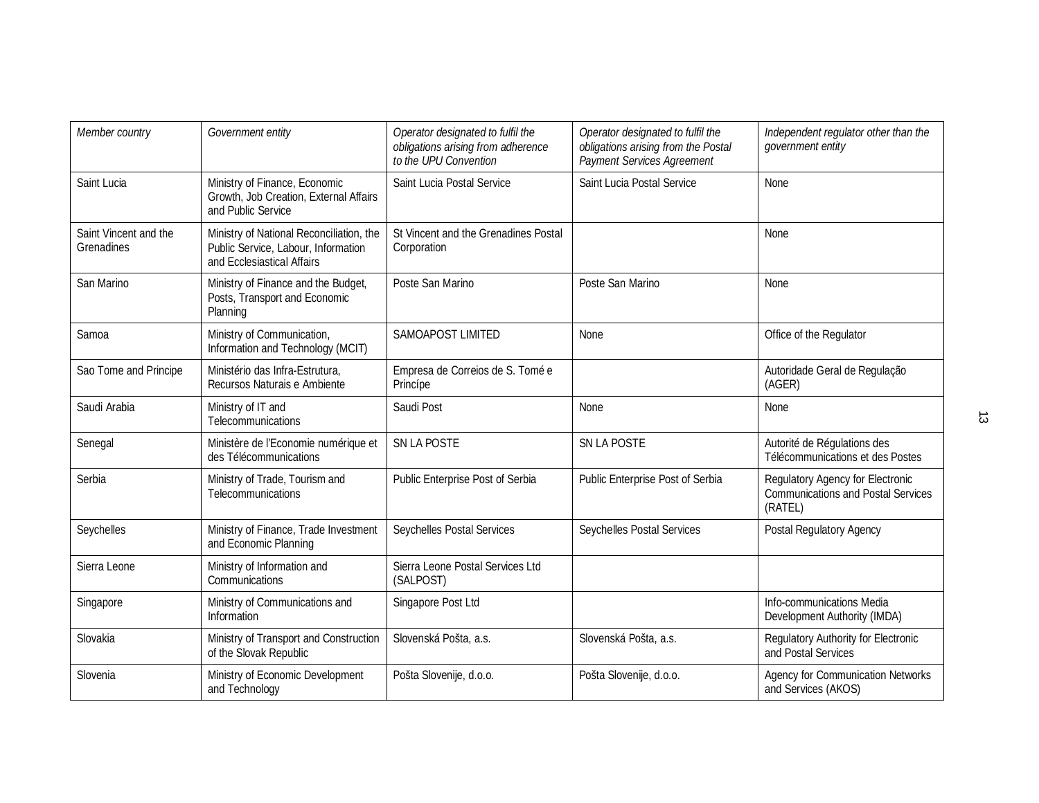| Member country                      | Government entity                                                                                             | Operator designated to fulfil the<br>obligations arising from adherence<br>to the UPU Convention | Operator designated to fulfil the<br>obligations arising from the Postal<br>Payment Services Agreement | Independent regulator other than the<br>government entity                                |
|-------------------------------------|---------------------------------------------------------------------------------------------------------------|--------------------------------------------------------------------------------------------------|--------------------------------------------------------------------------------------------------------|------------------------------------------------------------------------------------------|
| Saint Lucia                         | Ministry of Finance, Economic<br>Growth, Job Creation, External Affairs<br>and Public Service                 | Saint Lucia Postal Service                                                                       | Saint Lucia Postal Service                                                                             | None                                                                                     |
| Saint Vincent and the<br>Grenadines | Ministry of National Reconciliation, the<br>Public Service, Labour, Information<br>and Ecclesiastical Affairs | St Vincent and the Grenadines Postal<br>Corporation                                              |                                                                                                        | None                                                                                     |
| San Marino                          | Ministry of Finance and the Budget,<br>Posts, Transport and Economic<br>Planning                              | Poste San Marino                                                                                 | Poste San Marino                                                                                       | None                                                                                     |
| Samoa                               | Ministry of Communication,<br>Information and Technology (MCIT)                                               | <b>SAMOAPOST LIMITED</b>                                                                         | <b>None</b>                                                                                            | Office of the Regulator                                                                  |
| Sao Tome and Principe               | Ministério das Infra-Estrutura,<br>Recursos Naturais e Ambiente                                               | Empresa de Correios de S. Tomé e<br>Princípe                                                     |                                                                                                        | Autoridade Geral de Regulação<br>(AGER)                                                  |
| Saudi Arabia                        | Ministry of IT and<br>Telecommunications                                                                      | Saudi Post                                                                                       | None                                                                                                   | None                                                                                     |
| Senegal                             | Ministère de l'Economie numérique et<br>des Télécommunications                                                | SN LA POSTE                                                                                      | <b>SN LA POSTE</b>                                                                                     | Autorité de Régulations des<br>Télécommunications et des Postes                          |
| Serbia                              | Ministry of Trade, Tourism and<br>Telecommunications                                                          | Public Enterprise Post of Serbia                                                                 | Public Enterprise Post of Serbia                                                                       | Regulatory Agency for Electronic<br><b>Communications and Postal Services</b><br>(RATEL) |
| Seychelles                          | Ministry of Finance, Trade Investment<br>and Economic Planning                                                | Seychelles Postal Services                                                                       | Seychelles Postal Services                                                                             | Postal Regulatory Agency                                                                 |
| Sierra Leone                        | Ministry of Information and<br>Communications                                                                 | Sierra Leone Postal Services Ltd<br>(SALPOST)                                                    |                                                                                                        |                                                                                          |
| Singapore                           | Ministry of Communications and<br>Information                                                                 | Singapore Post Ltd                                                                               |                                                                                                        | Info-communications Media<br>Development Authority (IMDA)                                |
| Slovakia                            | Ministry of Transport and Construction<br>of the Slovak Republic                                              | Slovenská Pošta, a.s.                                                                            | Slovenská Pošta, a.s.                                                                                  | Regulatory Authority for Electronic<br>and Postal Services                               |
| Slovenia                            | Ministry of Economic Development<br>and Technology                                                            | Pošta Slovenije, d.o.o.                                                                          | Pošta Slovenije, d.o.o.                                                                                | <b>Agency for Communication Networks</b><br>and Services (AKOS)                          |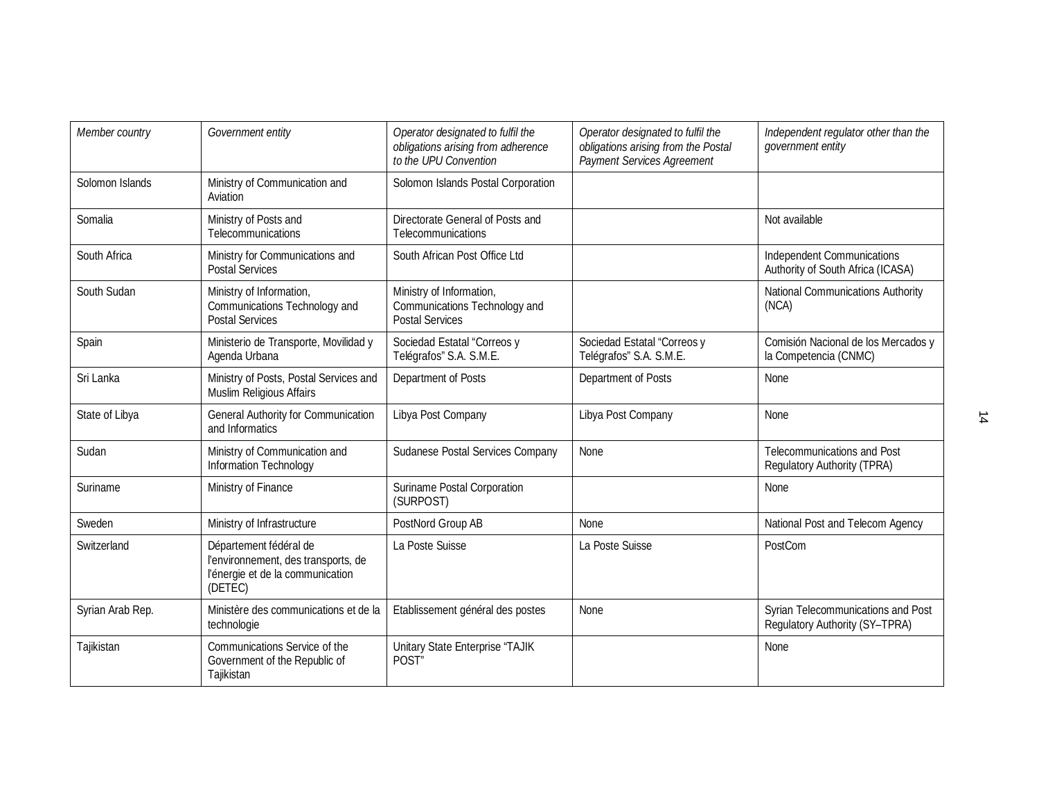| Member country   | Government entity                                                                                            | Operator designated to fulfil the<br>obligations arising from adherence<br>to the UPU Convention | Operator designated to fulfil the<br>obligations arising from the Postal<br><b>Payment Services Agreement</b> | Independent regulator other than the<br>government entity              |
|------------------|--------------------------------------------------------------------------------------------------------------|--------------------------------------------------------------------------------------------------|---------------------------------------------------------------------------------------------------------------|------------------------------------------------------------------------|
| Solomon Islands  | Ministry of Communication and<br>Aviation                                                                    | Solomon Islands Postal Corporation                                                               |                                                                                                               |                                                                        |
| Somalia          | Ministry of Posts and<br>Telecommunications                                                                  | Directorate General of Posts and<br>Telecommunications                                           |                                                                                                               | Not available                                                          |
| South Africa     | Ministry for Communications and<br><b>Postal Services</b>                                                    | South African Post Office Ltd                                                                    |                                                                                                               | <b>Independent Communications</b><br>Authority of South Africa (ICASA) |
| South Sudan      | Ministry of Information,<br>Communications Technology and<br><b>Postal Services</b>                          | Ministry of Information,<br>Communications Technology and<br><b>Postal Services</b>              |                                                                                                               | <b>National Communications Authority</b><br>(NCA)                      |
| Spain            | Ministerio de Transporte, Movilidad y<br>Agenda Urbana                                                       | Sociedad Estatal "Correos y<br>Telégrafos" S.A. S.M.E.                                           | Sociedad Estatal "Correos y<br>Telégrafos" S.A. S.M.E.                                                        | Comisión Nacional de los Mercados y<br>la Competencia (CNMC)           |
| Sri Lanka        | Ministry of Posts, Postal Services and<br>Muslim Religious Affairs                                           | Department of Posts                                                                              | Department of Posts                                                                                           | None                                                                   |
| State of Libya   | <b>General Authority for Communication</b><br>and Informatics                                                | Libya Post Company                                                                               | Libya Post Company                                                                                            | None                                                                   |
| Sudan            | Ministry of Communication and<br>Information Technology                                                      | Sudanese Postal Services Company                                                                 | None                                                                                                          | Telecommunications and Post<br>Regulatory Authority (TPRA)             |
| Suriname         | Ministry of Finance                                                                                          | Suriname Postal Corporation<br>(SURPOST)                                                         |                                                                                                               | None                                                                   |
| Sweden           | Ministry of Infrastructure                                                                                   | PostNord Group AB                                                                                | None                                                                                                          | National Post and Telecom Agency                                       |
| Switzerland      | Département fédéral de<br>l'environnement, des transports, de<br>l'énergie et de la communication<br>(DETEC) | La Poste Suisse                                                                                  | La Poste Suisse                                                                                               | PostCom                                                                |
| Syrian Arab Rep. | Ministère des communications et de la<br>technologie                                                         | Etablissement général des postes                                                                 | None                                                                                                          | Syrian Telecommunications and Post<br>Regulatory Authority (SY-TPRA)   |
| Tajikistan       | Communications Service of the<br>Government of the Republic of<br>Tajikistan                                 | Unitary State Enterprise "TAJIK<br>POST"                                                         |                                                                                                               | None                                                                   |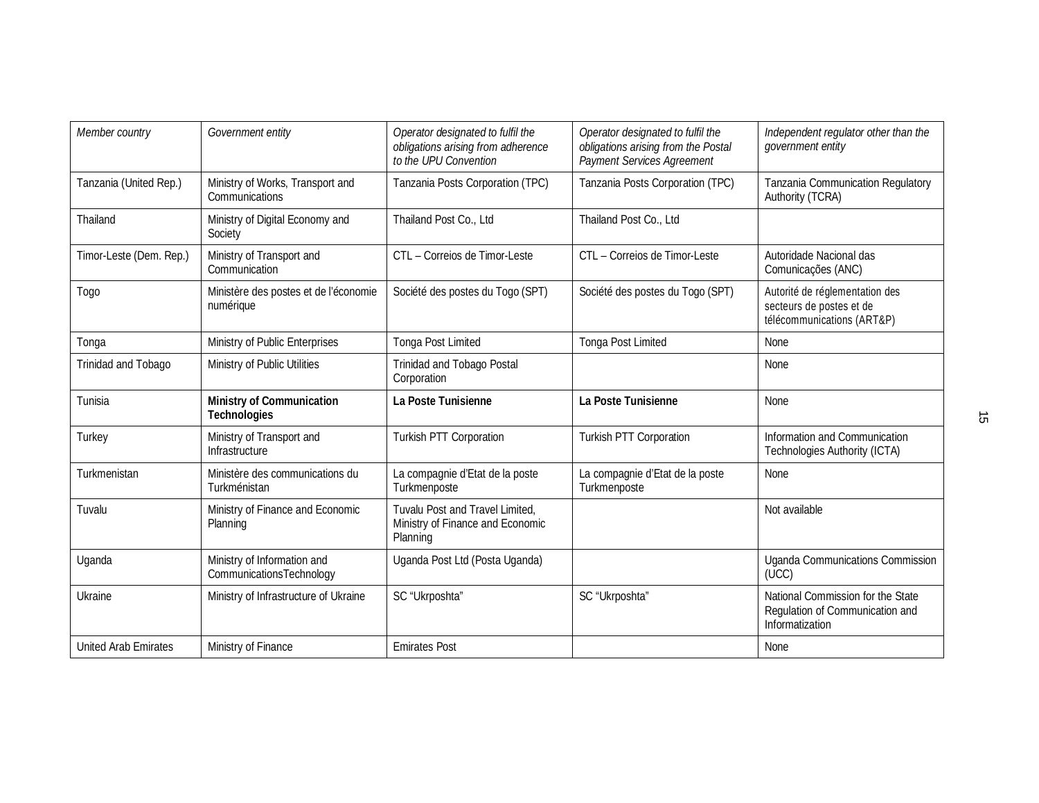| Member country              | Government entity                                               | Operator designated to fulfil the<br>obligations arising from adherence<br>to the UPU Convention | Operator designated to fulfil the<br>obligations arising from the Postal<br>Payment Services Agreement | Independent regulator other than the<br>government entity                                |
|-----------------------------|-----------------------------------------------------------------|--------------------------------------------------------------------------------------------------|--------------------------------------------------------------------------------------------------------|------------------------------------------------------------------------------------------|
| Tanzania (United Rep.)      | Ministry of Works, Transport and<br>Communications              | Tanzania Posts Corporation (TPC)                                                                 | Tanzania Posts Corporation (TPC)                                                                       | Tanzania Communication Regulatory<br>Authority (TCRA)                                    |
| Thailand                    | Ministry of Digital Economy and<br>Society                      | Thailand Post Co., Ltd                                                                           | Thailand Post Co., Ltd                                                                                 |                                                                                          |
| Timor-Leste (Dem. Rep.)     | Ministry of Transport and<br>Communication                      | CTL - Correios de Timor-Leste                                                                    | CTL - Correios de Timor-Leste                                                                          | Autoridade Nacional das<br>Comunicações (ANC)                                            |
| Togo                        | Ministère des postes et de l'économie<br>numérique              | Société des postes du Togo (SPT)                                                                 | Société des postes du Togo (SPT)                                                                       | Autorité de réglementation des<br>secteurs de postes et de<br>télécommunications (ART&P) |
| Tonga                       | Ministry of Public Enterprises                                  | <b>Tonga Post Limited</b>                                                                        | <b>Tonga Post Limited</b>                                                                              | None                                                                                     |
| Trinidad and Tobago         | Ministry of Public Utilities                                    | <b>Trinidad and Tobago Postal</b><br>Corporation                                                 |                                                                                                        | <b>None</b>                                                                              |
| Tunisia                     | <b>Ministry of Communication</b><br><b>Technologies</b>         | La Poste Tunisienne                                                                              | La Poste Tunisienne                                                                                    | None                                                                                     |
| Turkey                      | Ministry of Transport and<br>Infrastructure                     | Turkish PTT Corporation                                                                          | Turkish PTT Corporation                                                                                | Information and Communication<br><b>Technologies Authority (ICTA)</b>                    |
| Turkmenistan                | Ministère des communications du<br>Turkménistan                 | La compagnie d'Etat de la poste<br>Turkmenposte                                                  | La compagnie d'Etat de la poste<br>Turkmenposte                                                        | None                                                                                     |
| Tuvalu                      | Ministry of Finance and Economic<br>Planning                    | Tuvalu Post and Travel Limited,<br>Ministry of Finance and Economic<br>Planning                  |                                                                                                        | Not available                                                                            |
| Uganda                      | Ministry of Information and<br><b>Communications Technology</b> | Uganda Post Ltd (Posta Uganda)                                                                   |                                                                                                        | <b>Uganda Communications Commission</b><br>(UCC)                                         |
| Ukraine                     | Ministry of Infrastructure of Ukraine                           | SC "Ukrposhta"                                                                                   | SC "Ukrposhta"                                                                                         | National Commission for the State<br>Regulation of Communication and<br>Informatization  |
| <b>United Arab Emirates</b> | Ministry of Finance                                             | <b>Emirates Post</b>                                                                             |                                                                                                        | None                                                                                     |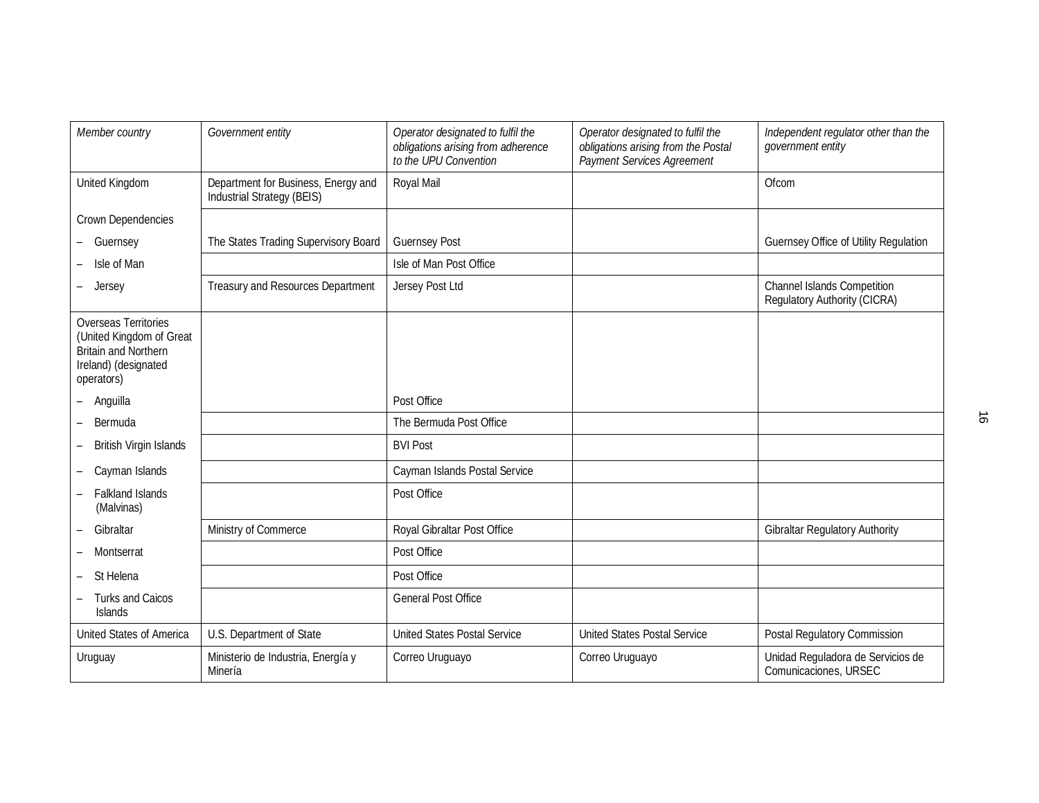| Member country                                                                                                               | Government entity                                                 | Operator designated to fulfil the<br>obligations arising from adherence<br>to the UPU Convention | Operator designated to fulfil the<br>obligations arising from the Postal<br>Payment Services Agreement | Independent regulator other than the<br>government entity          |
|------------------------------------------------------------------------------------------------------------------------------|-------------------------------------------------------------------|--------------------------------------------------------------------------------------------------|--------------------------------------------------------------------------------------------------------|--------------------------------------------------------------------|
| United Kingdom                                                                                                               | Department for Business, Energy and<br>Industrial Strategy (BEIS) | Royal Mail                                                                                       |                                                                                                        | Ofcom                                                              |
| Crown Dependencies                                                                                                           |                                                                   |                                                                                                  |                                                                                                        |                                                                    |
| - Guernsey                                                                                                                   | The States Trading Supervisory Board                              | <b>Guernsey Post</b>                                                                             |                                                                                                        | <b>Guernsey Office of Utility Regulation</b>                       |
| Isle of Man                                                                                                                  |                                                                   | Isle of Man Post Office                                                                          |                                                                                                        |                                                                    |
| Jersey                                                                                                                       | <b>Treasury and Resources Department</b>                          | Jersey Post Ltd                                                                                  |                                                                                                        | <b>Channel Islands Competition</b><br>Regulatory Authority (CICRA) |
| <b>Overseas Territories</b><br>(United Kingdom of Great<br><b>Britain and Northern</b><br>Ireland) (designated<br>operators) |                                                                   |                                                                                                  |                                                                                                        |                                                                    |
| Anguilla                                                                                                                     |                                                                   | Post Office                                                                                      |                                                                                                        |                                                                    |
| Bermuda                                                                                                                      |                                                                   | The Bermuda Post Office                                                                          |                                                                                                        |                                                                    |
| British Virgin Islands                                                                                                       |                                                                   | <b>BVI Post</b>                                                                                  |                                                                                                        |                                                                    |
| Cayman Islands                                                                                                               |                                                                   | Cayman Islands Postal Service                                                                    |                                                                                                        |                                                                    |
| <b>Falkland Islands</b><br>(Malvinas)                                                                                        |                                                                   | Post Office                                                                                      |                                                                                                        |                                                                    |
| Gibraltar                                                                                                                    | Ministry of Commerce                                              | Royal Gibraltar Post Office                                                                      |                                                                                                        | <b>Gibraltar Regulatory Authority</b>                              |
| Montserrat                                                                                                                   |                                                                   | Post Office                                                                                      |                                                                                                        |                                                                    |
| St Helena                                                                                                                    |                                                                   | Post Office                                                                                      |                                                                                                        |                                                                    |
| <b>Turks and Caicos</b><br><b>Islands</b>                                                                                    |                                                                   | <b>General Post Office</b>                                                                       |                                                                                                        |                                                                    |
| United States of America                                                                                                     | U.S. Department of State                                          | <b>United States Postal Service</b>                                                              | <b>United States Postal Service</b>                                                                    | Postal Regulatory Commission                                       |
| Uruguay                                                                                                                      | Ministerio de Industria, Energía y<br>Minería                     | Correo Uruguayo                                                                                  | Correo Uruguayo                                                                                        | Unidad Reguladora de Servicios de<br>Comunicaciones, URSEC         |